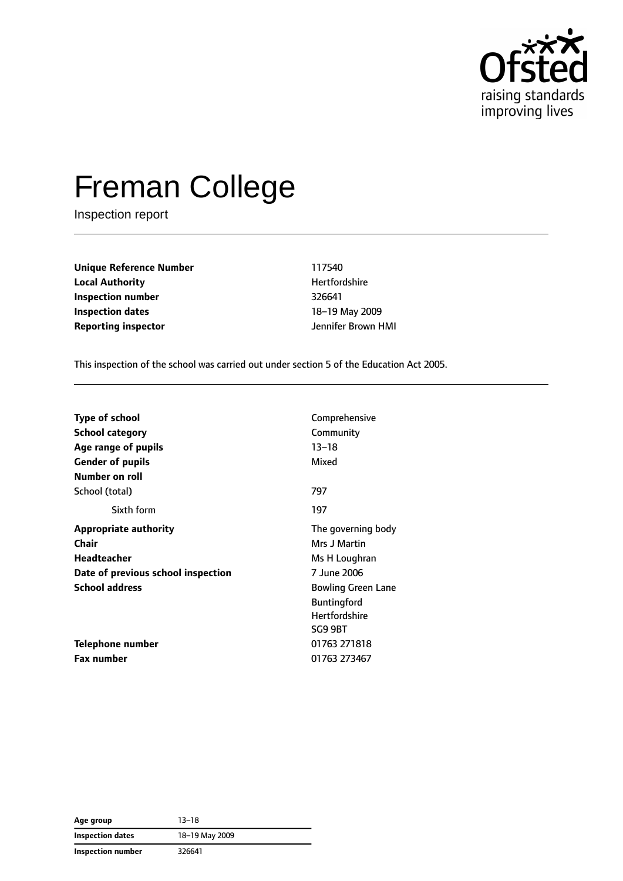

# Freman College

Inspection report

**Unique Reference Number** 117540 **Local Authority Material Authority Hertfordshire Inspection number** 326641 **Inspection dates** 18–19 May 2009 **Reporting inspector and a structure of the UP** dennifer Brown HMI

This inspection of the school was carried out under section 5 of the Education Act 2005.

| <b>Type of school</b>              | Comprehensive             |
|------------------------------------|---------------------------|
| <b>School category</b>             | Community                 |
| Age range of pupils                | $13 - 18$                 |
| <b>Gender of pupils</b>            | Mixed                     |
| Number on roll                     |                           |
| School (total)                     | 797                       |
| Sixth form                         | 197                       |
| <b>Appropriate authority</b>       | The governing body        |
| <b>Chair</b>                       | Mrs J Martin              |
| <b>Headteacher</b>                 | Ms H Loughran             |
| Date of previous school inspection | 7 June 2006               |
| <b>School address</b>              | <b>Bowling Green Lane</b> |
|                                    | <b>Buntingford</b>        |
|                                    | <b>Hertfordshire</b>      |
|                                    | SG9 9BT                   |
| Telephone number                   | 01763 271818              |
| <b>Fax number</b>                  | 01763 273467              |

**Age group** 13–18 **Inspection dates** 18–19 May 2009 **Inspection number** 326641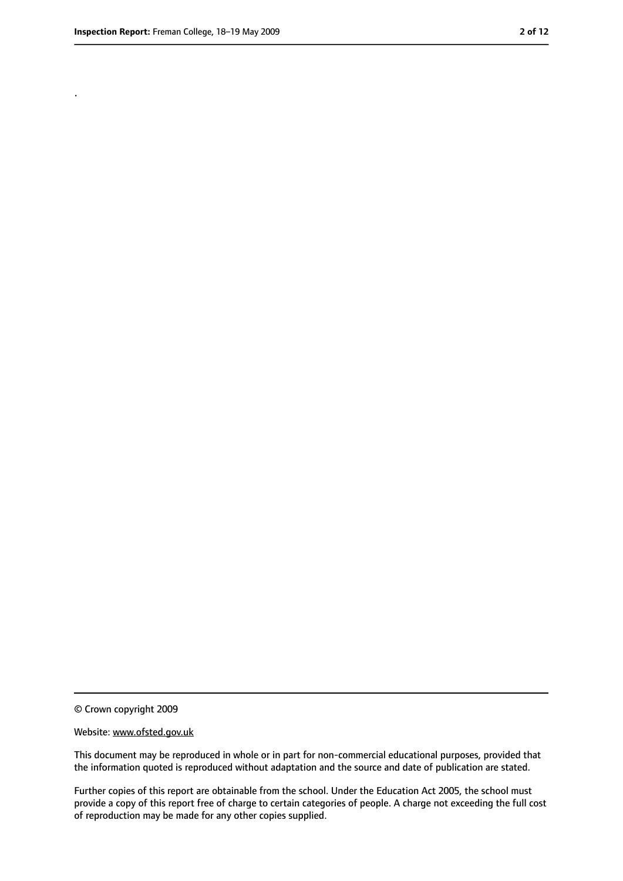.

<sup>©</sup> Crown copyright 2009

Website: www.ofsted.gov.uk

This document may be reproduced in whole or in part for non-commercial educational purposes, provided that the information quoted is reproduced without adaptation and the source and date of publication are stated.

Further copies of this report are obtainable from the school. Under the Education Act 2005, the school must provide a copy of this report free of charge to certain categories of people. A charge not exceeding the full cost of reproduction may be made for any other copies supplied.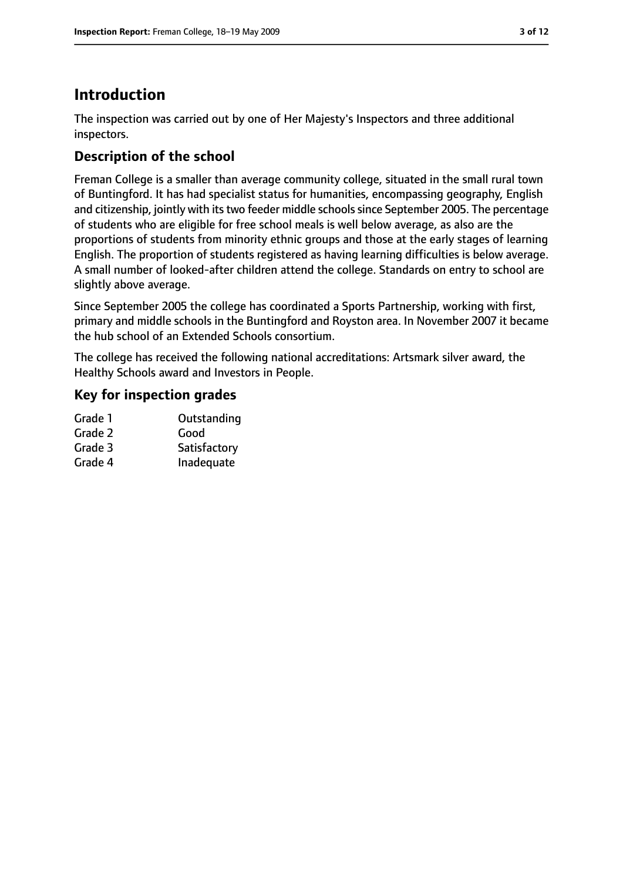# **Introduction**

The inspection was carried out by one of Her Majesty's Inspectors and three additional inspectors.

## **Description of the school**

Freman College is a smaller than average community college, situated in the small rural town of Buntingford. It has had specialist status for humanities, encompassing geography, English and citizenship, jointly with its two feeder middle schools since September 2005. The percentage of students who are eligible for free school meals is well below average, as also are the proportions of students from minority ethnic groups and those at the early stages of learning English. The proportion of students registered as having learning difficulties is below average. A small number of looked-after children attend the college. Standards on entry to school are slightly above average.

Since September 2005 the college has coordinated a Sports Partnership, working with first, primary and middle schools in the Buntingford and Royston area. In November 2007 it became the hub school of an Extended Schools consortium.

The college has received the following national accreditations: Artsmark silver award, the Healthy Schools award and Investors in People.

## **Key for inspection grades**

| Grade 1 | Outstanding  |
|---------|--------------|
| Grade 2 | Good         |
| Grade 3 | Satisfactory |
| Grade 4 | Inadequate   |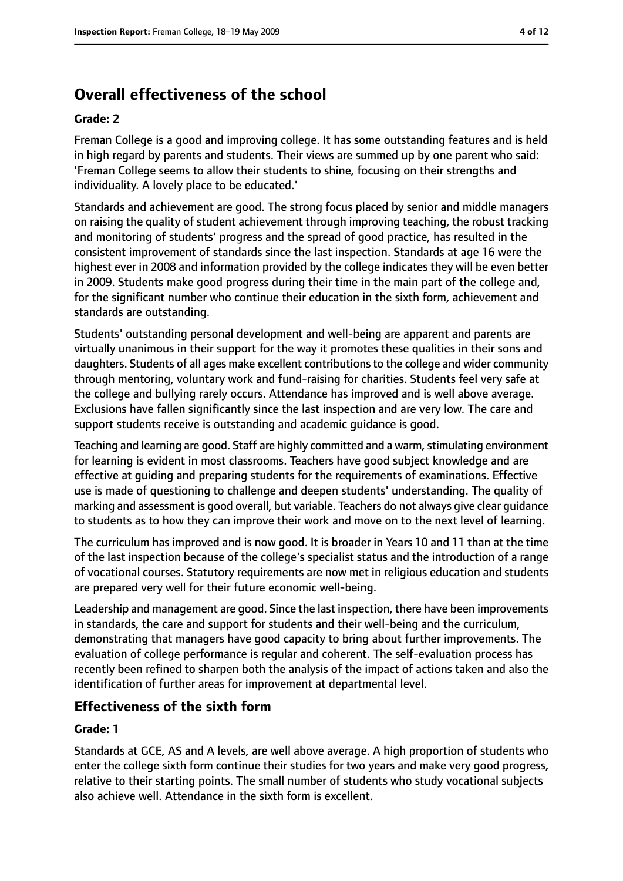# **Overall effectiveness of the school**

#### **Grade: 2**

Freman College is a good and improving college. It has some outstanding features and is held in high regard by parents and students. Their views are summed up by one parent who said: 'Freman College seems to allow their students to shine, focusing on their strengths and individuality. A lovely place to be educated.'

Standards and achievement are good. The strong focus placed by senior and middle managers on raising the quality of student achievement through improving teaching, the robust tracking and monitoring of students' progress and the spread of good practice, has resulted in the consistent improvement of standards since the last inspection. Standards at age 16 were the highest ever in 2008 and information provided by the college indicates they will be even better in 2009. Students make good progress during their time in the main part of the college and, for the significant number who continue their education in the sixth form, achievement and standards are outstanding.

Students' outstanding personal development and well-being are apparent and parents are virtually unanimous in their support for the way it promotes these qualities in their sons and daughters. Students of all ages make excellent contributionsto the college and wider community through mentoring, voluntary work and fund-raising for charities. Students feel very safe at the college and bullying rarely occurs. Attendance has improved and is well above average. Exclusions have fallen significantly since the last inspection and are very low. The care and support students receive is outstanding and academic guidance is good.

Teaching and learning are good. Staff are highly committed and a warm, stimulating environment for learning is evident in most classrooms. Teachers have good subject knowledge and are effective at guiding and preparing students for the requirements of examinations. Effective use is made of questioning to challenge and deepen students' understanding. The quality of marking and assessment is good overall, but variable. Teachers do not always give clear guidance to students as to how they can improve their work and move on to the next level of learning.

The curriculum has improved and is now good. It is broader in Years 10 and 11 than at the time of the last inspection because of the college's specialist status and the introduction of a range of vocational courses. Statutory requirements are now met in religious education and students are prepared very well for their future economic well-being.

Leadership and management are good. Since the last inspection, there have been improvements in standards, the care and support for students and their well-being and the curriculum, demonstrating that managers have good capacity to bring about further improvements. The evaluation of college performance is regular and coherent. The self-evaluation process has recently been refined to sharpen both the analysis of the impact of actions taken and also the identification of further areas for improvement at departmental level.

#### **Effectiveness of the sixth form**

#### **Grade: 1**

Standards at GCE, AS and A levels, are well above average. A high proportion of students who enter the college sixth form continue their studies for two years and make very good progress, relative to their starting points. The small number of students who study vocational subjects also achieve well. Attendance in the sixth form is excellent.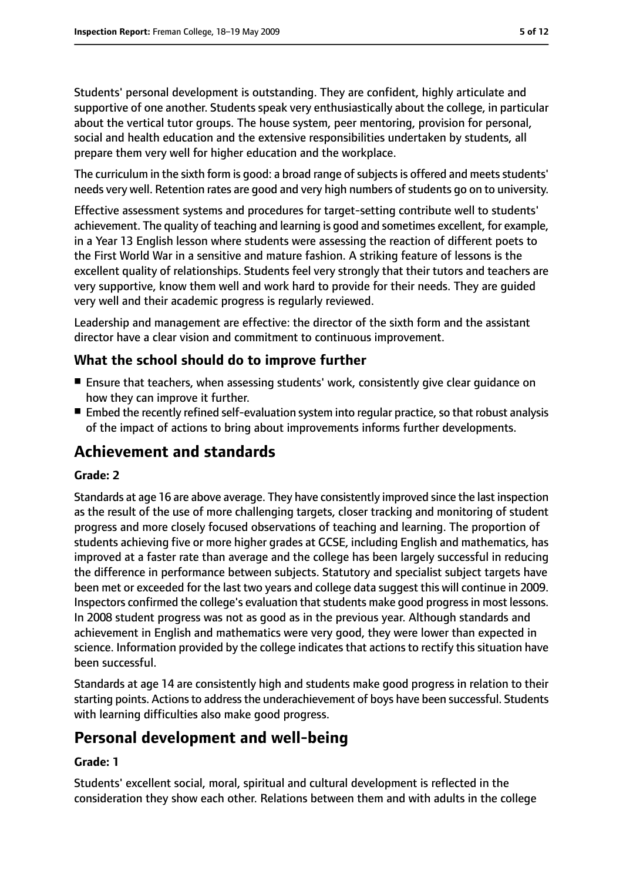Students' personal development is outstanding. They are confident, highly articulate and supportive of one another. Students speak very enthusiastically about the college, in particular about the vertical tutor groups. The house system, peer mentoring, provision for personal, social and health education and the extensive responsibilities undertaken by students, all prepare them very well for higher education and the workplace.

The curriculum in the sixth form is good: a broad range of subjects is offered and meets students' needs very well. Retention rates are good and very high numbers of students go on to university.

Effective assessment systems and procedures for target-setting contribute well to students' achievement. The quality of teaching and learning is good and sometimes excellent, for example, in a Year 13 English lesson where students were assessing the reaction of different poets to the First World War in a sensitive and mature fashion. A striking feature of lessons is the excellent quality of relationships. Students feel very strongly that their tutors and teachers are very supportive, know them well and work hard to provide for their needs. They are guided very well and their academic progress is regularly reviewed.

Leadership and management are effective: the director of the sixth form and the assistant director have a clear vision and commitment to continuous improvement.

## **What the school should do to improve further**

- Ensure that teachers, when assessing students' work, consistently give clear quidance on how they can improve it further.
- $\blacksquare$  Embed the recently refined self-evaluation system into regular practice, so that robust analysis of the impact of actions to bring about improvements informs further developments.

## **Achievement and standards**

#### **Grade: 2**

Standards at age 16 are above average. They have consistently improved since the last inspection as the result of the use of more challenging targets, closer tracking and monitoring of student progress and more closely focused observations of teaching and learning. The proportion of students achieving five or more higher grades at GCSE, including English and mathematics, has improved at a faster rate than average and the college has been largely successful in reducing the difference in performance between subjects. Statutory and specialist subject targets have been met or exceeded for the last two years and college data suggest this will continue in 2009. Inspectors confirmed the college's evaluation that students make good progress in most lessons. In 2008 student progress was not as good as in the previous year. Although standards and achievement in English and mathematics were very good, they were lower than expected in science. Information provided by the college indicates that actions to rectify this situation have been successful.

Standards at age 14 are consistently high and students make good progress in relation to their starting points. Actions to address the underachievement of boys have been successful. Students with learning difficulties also make good progress.

## **Personal development and well-being**

#### **Grade: 1**

Students' excellent social, moral, spiritual and cultural development is reflected in the consideration they show each other. Relations between them and with adults in the college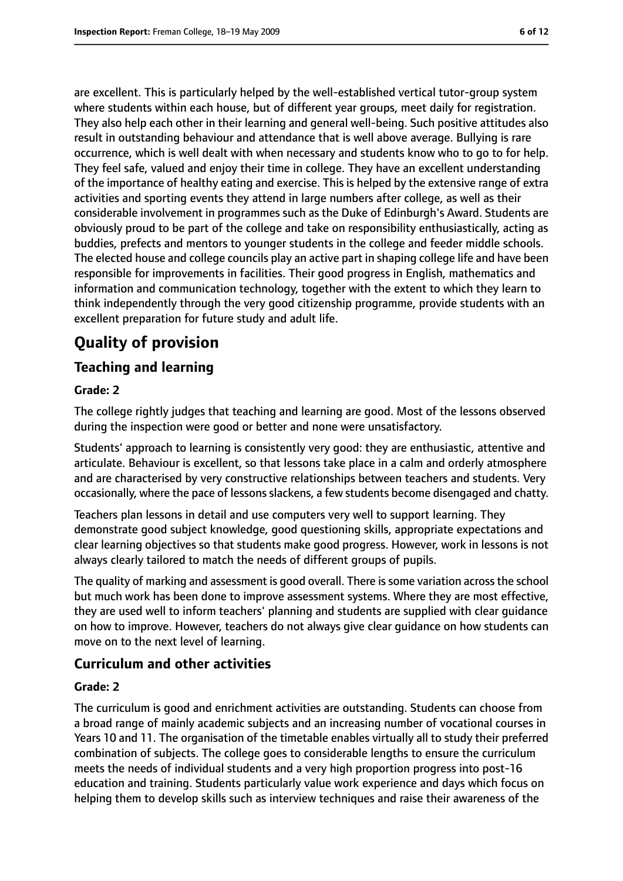are excellent. This is particularly helped by the well-established vertical tutor-group system where students within each house, but of different year groups, meet daily for registration. They also help each other in their learning and general well-being. Such positive attitudes also result in outstanding behaviour and attendance that is well above average. Bullying is rare occurrence, which is well dealt with when necessary and students know who to go to for help. They feel safe, valued and enjoy their time in college. They have an excellent understanding of the importance of healthy eating and exercise. This is helped by the extensive range of extra activities and sporting events they attend in large numbers after college, as well as their considerable involvement in programmes such as the Duke of Edinburgh's Award. Students are obviously proud to be part of the college and take on responsibility enthusiastically, acting as buddies, prefects and mentors to younger students in the college and feeder middle schools. The elected house and college councils play an active part in shaping college life and have been responsible for improvements in facilities. Their good progress in English, mathematics and information and communication technology, together with the extent to which they learn to think independently through the very good citizenship programme, provide students with an excellent preparation for future study and adult life.

# **Quality of provision**

#### **Teaching and learning**

#### **Grade: 2**

The college rightly judges that teaching and learning are good. Most of the lessons observed during the inspection were good or better and none were unsatisfactory.

Students' approach to learning is consistently very good: they are enthusiastic, attentive and articulate. Behaviour is excellent, so that lessons take place in a calm and orderly atmosphere and are characterised by very constructive relationships between teachers and students. Very occasionally, where the pace of lessonsslackens, a few students become disengaged and chatty.

Teachers plan lessons in detail and use computers very well to support learning. They demonstrate good subject knowledge, good questioning skills, appropriate expectations and clear learning objectives so that students make good progress. However, work in lessons is not always clearly tailored to match the needs of different groups of pupils.

The quality of marking and assessment is good overall. There is some variation across the school but much work has been done to improve assessment systems. Where they are most effective, they are used well to inform teachers' planning and students are supplied with clear guidance on how to improve. However, teachers do not always give clear guidance on how students can move on to the next level of learning.

#### **Curriculum and other activities**

#### **Grade: 2**

The curriculum is good and enrichment activities are outstanding. Students can choose from a broad range of mainly academic subjects and an increasing number of vocational courses in Years 10 and 11. The organisation of the timetable enables virtually all to study their preferred combination of subjects. The college goes to considerable lengths to ensure the curriculum meets the needs of individual students and a very high proportion progress into post-16 education and training. Students particularly value work experience and days which focus on helping them to develop skills such as interview techniques and raise their awareness of the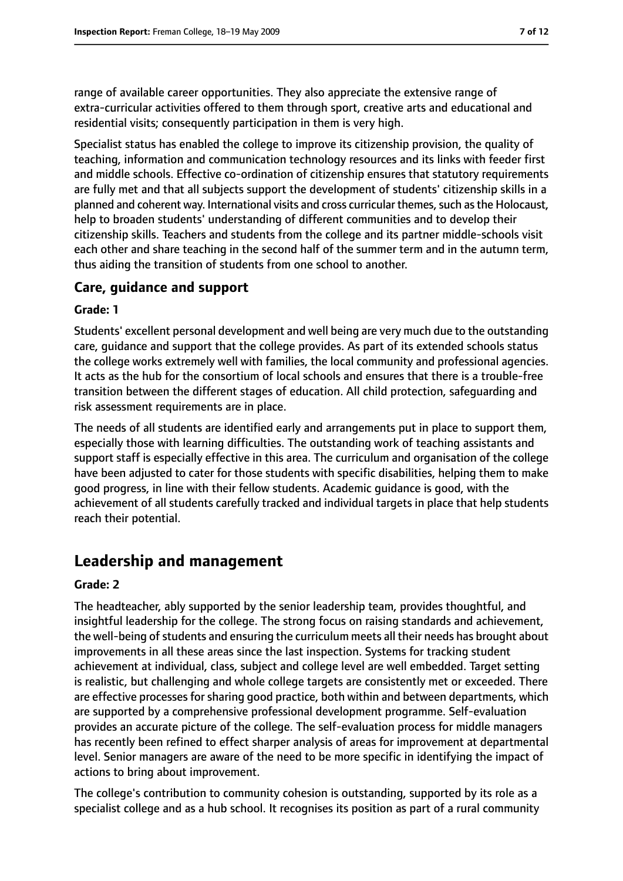range of available career opportunities. They also appreciate the extensive range of extra-curricular activities offered to them through sport, creative arts and educational and residential visits; consequently participation in them is very high.

Specialist status has enabled the college to improve its citizenship provision, the quality of teaching, information and communication technology resources and its links with feeder first and middle schools. Effective co-ordination of citizenship ensures that statutory requirements are fully met and that all subjects support the development of students' citizenship skills in a planned and coherent way. International visits and cross curricular themes, such as the Holocaust, help to broaden students' understanding of different communities and to develop their citizenship skills. Teachers and students from the college and its partner middle-schools visit each other and share teaching in the second half of the summer term and in the autumn term, thus aiding the transition of students from one school to another.

#### **Care, guidance and support**

#### **Grade: 1**

Students' excellent personal development and well being are very much due to the outstanding care, guidance and support that the college provides. As part of its extended schools status the college works extremely well with families, the local community and professional agencies. It acts as the hub for the consortium of local schools and ensures that there is a trouble-free transition between the different stages of education. All child protection, safeguarding and risk assessment requirements are in place.

The needs of all students are identified early and arrangements put in place to support them, especially those with learning difficulties. The outstanding work of teaching assistants and support staff is especially effective in this area. The curriculum and organisation of the college have been adjusted to cater for those students with specific disabilities, helping them to make good progress, in line with their fellow students. Academic guidance is good, with the achievement of all students carefully tracked and individual targets in place that help students reach their potential.

## **Leadership and management**

#### **Grade: 2**

The headteacher, ably supported by the senior leadership team, provides thoughtful, and insightful leadership for the college. The strong focus on raising standards and achievement, the well-being of students and ensuring the curriculum meets all their needs has brought about improvements in all these areas since the last inspection. Systems for tracking student achievement at individual, class, subject and college level are well embedded. Target setting is realistic, but challenging and whole college targets are consistently met or exceeded. There are effective processes for sharing good practice, both within and between departments, which are supported by a comprehensive professional development programme. Self-evaluation provides an accurate picture of the college. The self-evaluation process for middle managers has recently been refined to effect sharper analysis of areas for improvement at departmental level. Senior managers are aware of the need to be more specific in identifying the impact of actions to bring about improvement.

The college's contribution to community cohesion is outstanding, supported by its role as a specialist college and as a hub school. It recognises its position as part of a rural community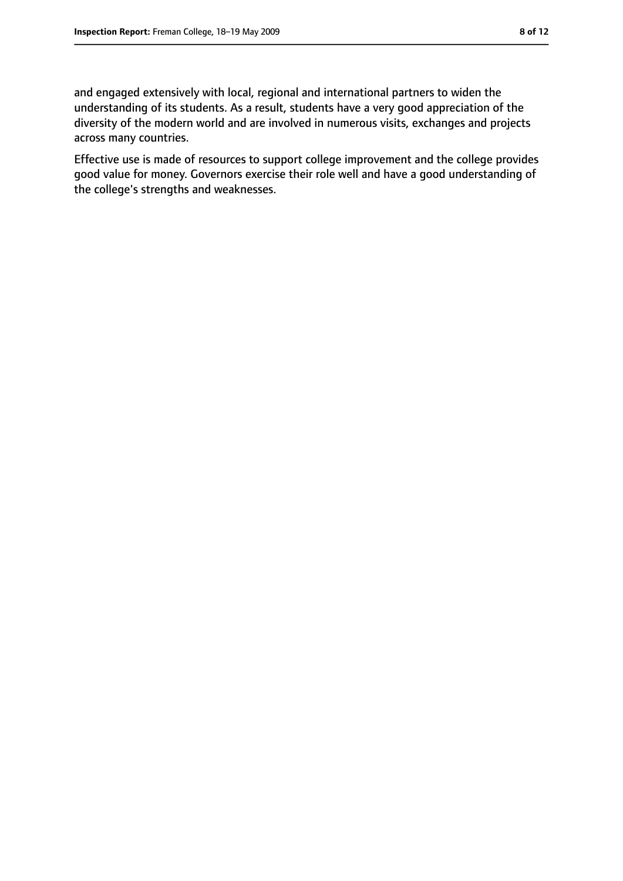and engaged extensively with local, regional and international partners to widen the understanding of its students. As a result, students have a very good appreciation of the diversity of the modern world and are involved in numerous visits, exchanges and projects across many countries.

Effective use is made of resources to support college improvement and the college provides good value for money. Governors exercise their role well and have a good understanding of the college's strengths and weaknesses.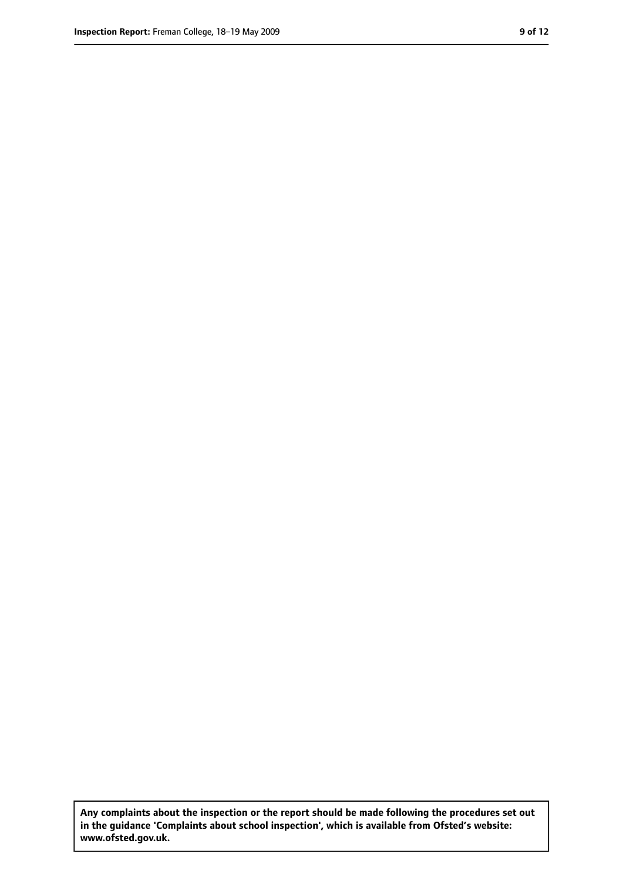**Any complaints about the inspection or the report should be made following the procedures set out in the guidance 'Complaints about school inspection', which is available from Ofsted's website: www.ofsted.gov.uk.**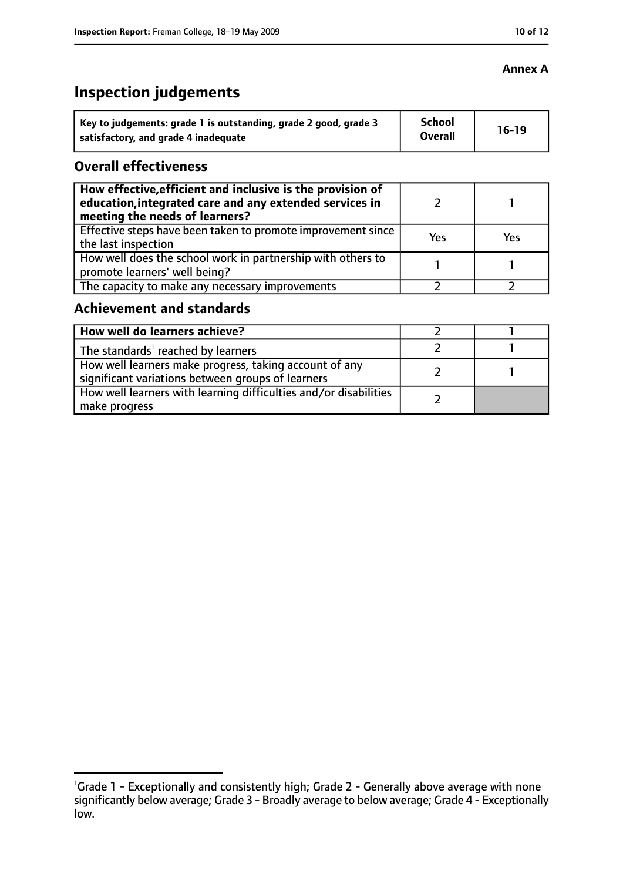# **Inspection judgements**

| Key to judgements: grade 1 is outstanding, grade 2 good, grade 3 | <b>School</b><br><b>Overall</b> | $16-19$ |
|------------------------------------------------------------------|---------------------------------|---------|
| satisfactory, and grade 4 inadequate                             |                                 |         |

### **Overall effectiveness**

| How effective, efficient and inclusive is the provision of<br>education, integrated care and any extended services in<br>meeting the needs of learners? |     |     |
|---------------------------------------------------------------------------------------------------------------------------------------------------------|-----|-----|
| Effective steps have been taken to promote improvement since<br>the last inspection                                                                     | Yes | Yes |
| How well does the school work in partnership with others to<br>promote learners' well being?                                                            |     |     |
| The capacity to make any necessary improvements                                                                                                         |     |     |

## **Achievement and standards**

| How well do learners achieve?                                                                               |  |
|-------------------------------------------------------------------------------------------------------------|--|
| The standards <sup>1</sup> reached by learners                                                              |  |
| How well learners make progress, taking account of any<br>significant variations between groups of learners |  |
| How well learners with learning difficulties and/or disabilities<br>make progress                           |  |

#### **Annex A**

<sup>&</sup>lt;sup>1</sup>Grade 1 - Exceptionally and consistently high; Grade 2 - Generally above average with none significantly below average; Grade 3 - Broadly average to below average; Grade 4 - Exceptionally low.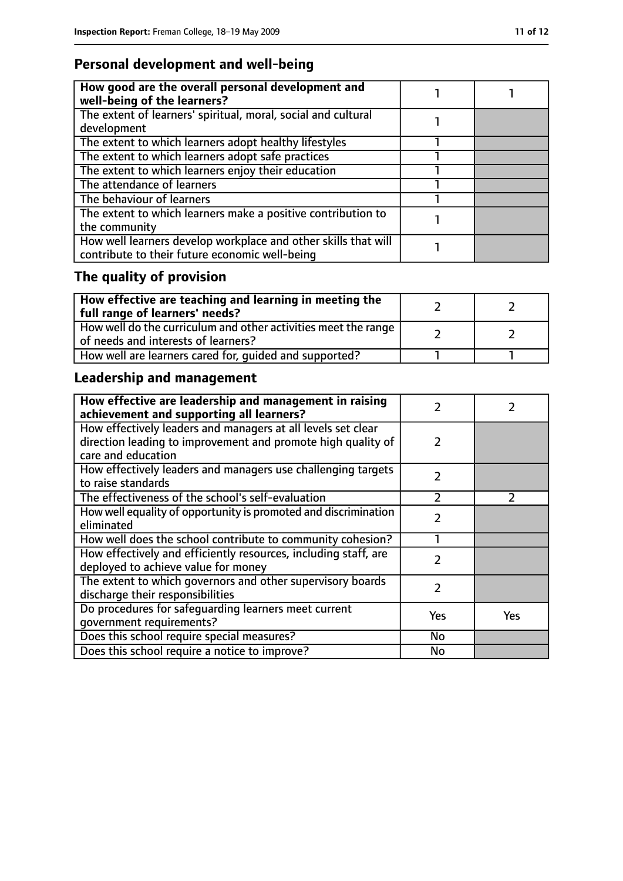## **Personal development and well-being**

| How good are the overall personal development and<br>well-being of the learners? |  |
|----------------------------------------------------------------------------------|--|
| The extent of learners' spiritual, moral, social and cultural                    |  |
| development                                                                      |  |
| The extent to which learners adopt healthy lifestyles                            |  |
| The extent to which learners adopt safe practices                                |  |
| The extent to which learners enjoy their education                               |  |
| The attendance of learners                                                       |  |
| The behaviour of learners                                                        |  |
| The extent to which learners make a positive contribution to                     |  |
| the community                                                                    |  |
| How well learners develop workplace and other skills that will                   |  |
| contribute to their future economic well-being                                   |  |

# **The quality of provision**

| $\mid$ How effective are teaching and learning in meeting the<br>full range of learners' needs?       |  |
|-------------------------------------------------------------------------------------------------------|--|
| How well do the curriculum and other activities meet the range<br>of needs and interests of learners? |  |
| How well are learners cared for, quided and supported?                                                |  |

# **Leadership and management**

| How effective are leadership and management in raising<br>achievement and supporting all learners? | フ             |               |
|----------------------------------------------------------------------------------------------------|---------------|---------------|
| How effectively leaders and managers at all levels set clear                                       |               |               |
| direction leading to improvement and promote high quality of                                       | 2             |               |
| care and education                                                                                 |               |               |
| How effectively leaders and managers use challenging targets                                       | $\mathcal{P}$ |               |
| to raise standards                                                                                 |               |               |
| The effectiveness of the school's self-evaluation                                                  | フ             | $\mathcal{P}$ |
| How well equality of opportunity is promoted and discrimination                                    | $\mathcal{P}$ |               |
| eliminated                                                                                         |               |               |
| How well does the school contribute to community cohesion?                                         |               |               |
| How effectively and efficiently resources, including staff, are                                    | フ             |               |
| deployed to achieve value for money                                                                |               |               |
| The extent to which governors and other supervisory boards                                         | 2             |               |
| discharge their responsibilities                                                                   |               |               |
| Do procedures for safeguarding learners meet current                                               | Yes           | Yes           |
| qovernment requirements?                                                                           |               |               |
| Does this school require special measures?                                                         | No            |               |
| Does this school require a notice to improve?                                                      | No            |               |